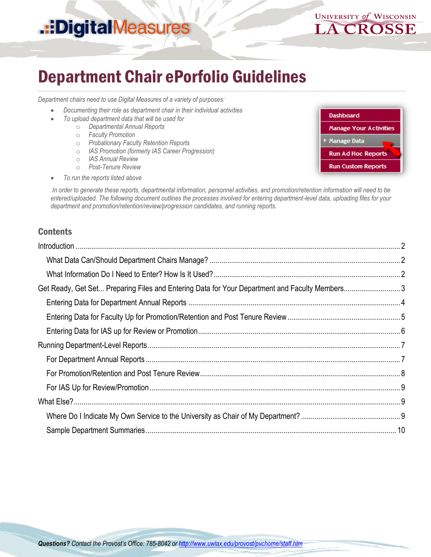# .: DigitalMeasures

## Department Chair ePorfolio Guidelines

*Department chairs need to use Digital Measures of a variety of purposes:*

- *Documenting their role as department chair in their individual activities*
- *To upload department data that will be used for*
	- o *Departmental Annual Reports*
	- o *Faculty Promotion*
	- o *Probationary Faculty Retention Reports*
	- o *IAS Promotion (formerly IAS Career Progression)*
	- o *IAS Annual Review*
	- o *Post-Tenure Review*
- *To run the reports listed above*



*In order to generate these reports, departmental information, personnel activities, and promotion/retention information will need to be entered/uploaded. The following document outlines the processes involved for entering department-level data, uploading files for your department and promotion/retention/review/progression candidates, and running reports.*

## **Contents**

| Get Ready, Get Set Preparing Files and Entering Data for Your Department and Faculty Members3 |  |
|-----------------------------------------------------------------------------------------------|--|
|                                                                                               |  |
|                                                                                               |  |
|                                                                                               |  |
|                                                                                               |  |
|                                                                                               |  |
|                                                                                               |  |
|                                                                                               |  |
|                                                                                               |  |
|                                                                                               |  |
|                                                                                               |  |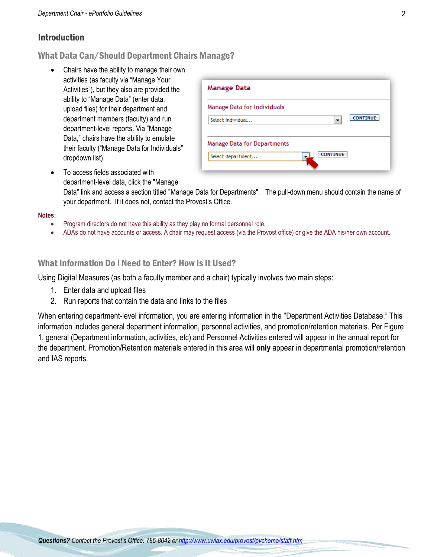## <span id="page-1-0"></span>Introduction

## <span id="page-1-1"></span>What Data Can/Should Department Chairs Manage?

• Chairs have the ability to manage their own activities (as faculty via "Manage Your Activities"), but they also are provided the ability to "Manage Data" (enter data, upload files) for their department and department members (faculty) and run department-level reports. Via "Manage Data," chairs have the ability to emulate their faculty ("Manage Data for Individuals" dropdown list).

| Manage Data                        |                 |
|------------------------------------|-----------------|
| Manage Data for Individuals        |                 |
| Select individual                  | <b>CONTINUE</b> |
| <b>Manage Data for Departments</b> |                 |
| Select department                  | <b>CONTINUE</b> |

 To access fields associated with department-level data, click the "Manage Data" link and access a section titled "Manage Data for Departments". The pull-down menu should contain the name of your department. If it does not, contact the Provost's Office.

#### **Notes:**

- Program directors do not have this ability as they play no formal personnel role.
- ADAs do not have accounts or access. A chair may request access (via the Provost office) or give the ADA his/her own account.

#### <span id="page-1-2"></span>What Information Do I Need to Enter? How Is It Used?

Using Digital Measures (as both a faculty member and a chair) typically involves two main steps:

- 1. Enter data and upload files
- 2. Run reports that contain the data and links to the files

When entering department-level information, you are entering information in the "Department Activities Database." This information includes general department information, personnel activities, and promotion/retention materials. Per Figure 1, general (Department information, activities, etc) and Personnel Activities entered will appear in the annual report for the department. Promotion/Retention materials entered in this area will **only** appear in departmental promotion/retention and IAS reports.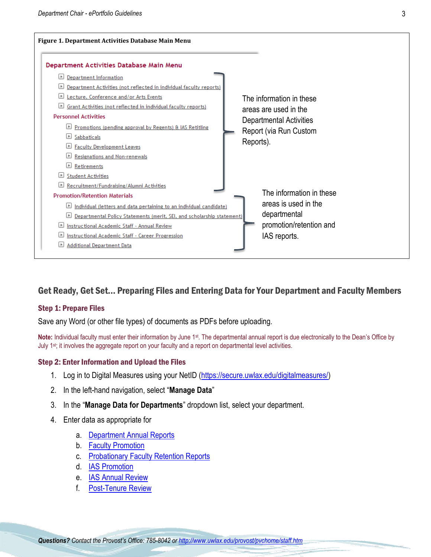

## <span id="page-2-0"></span>Get Ready, Get Set... Preparing Files and Entering Data for Your Department and Faculty Members

#### Step 1: Prepare Files

Save any Word (or other file types) of documents as PDFs before uploading.

**Note:** Individual faculty must enter their information by June 1st. The departmental annual report is due electronically to the Dean's Office by July 1st; it involves the aggregate report on your faculty and a report on departmental level activities.

#### Step 2: Enter Information and Upload the Files

- 1. Log in to Digital Measures using your NetID [\(https://secure.uwlax.edu/digitalmeasures/\)](https://secure.uwlax.edu/digitalmeasures/)
- 2. In the left-hand navigation, select "**Manage Data**"
- 3. In the "**Manage Data for Departments**" dropdown list, select your department.
- <span id="page-2-1"></span>4. Enter data as appropriate for
	- a. [Department Annual Reports](#page-2-1)
	- b. [Faculty Promotion](#page-3-1)
	- c. Probationary [Faculty Retention Reports](#page-3-1)
	- d. [IAS Promotion](#page-4-1)
	- e. [IAS Annual Review](#page-4-1)
	- f. [Post-Tenure](#page-3-1) Review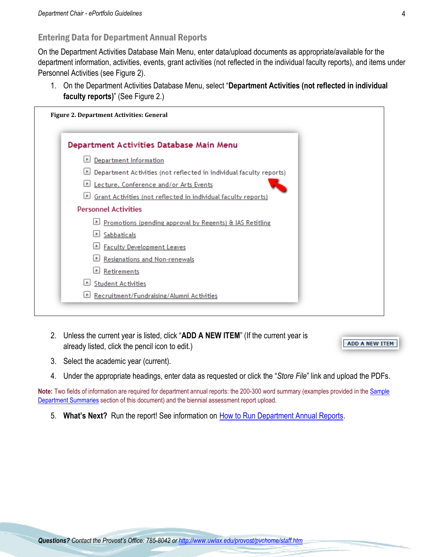## <span id="page-3-0"></span>Entering Data for Department Annual Reports

On the Department Activities Database Main Menu, enter data/upload documents as appropriate/available for the department information, activities, events, grant activities (not reflected in the individual faculty reports), and items under Personnel Activities (see Figure 2).

1. On the Department Activities Database Menu, select "**Department Activities (not reflected in individual faculty reports)**" (See Figure 2.)



2. Unless the current year is listed, click "**ADD A NEW ITEM**" (If the current year is already listed, click the pencil icon to edit.)

**ADD A NEW ITEM** 

- 3. Select the academic year (current).
- 4. Under the appropriate headings, enter data as requested or click the "*Store File*" link and upload the PDFs.

**Note:** Two fields of information are required for department annual reports: the 200-300 word summary (examples provided in the [Sample](#page-9-0)  [Department Summaries](#page-9-0) section of this document) and the biennial assessment report upload.

<span id="page-3-1"></span>5. **What's Next?** Run the report! See information on [How to Run Department Annual Reports.](#page-6-0)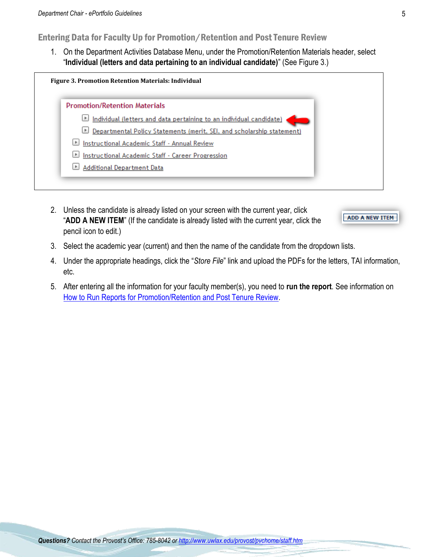## <span id="page-4-0"></span>Entering Data for Faculty Up for Promotion/Retention and Post Tenure Review

1. On the Department Activities Database Menu, under the Promotion/Retention Materials header, select "**Individual (letters and data pertaining to an individual candidate)**" (See Figure 3.)



2. Unless the candidate is already listed on your screen with the current year, click "**ADD A NEW ITEM**" (If the candidate is already listed with the current year, click the pencil icon to edit.)

**ADD A NEW ITEM** 

- 3. Select the academic year (current) and then the name of the candidate from the dropdown lists.
- 4. Under the appropriate headings, click the "*Store File*" link and upload the PDFs for the letters, TAI information, etc.
- <span id="page-4-1"></span>5. After entering all the information for your faculty member(s), you need to **run the report**. See information on [How to Run Reports for Promotion/Retention and Post Tenure Review.](#page-7-0)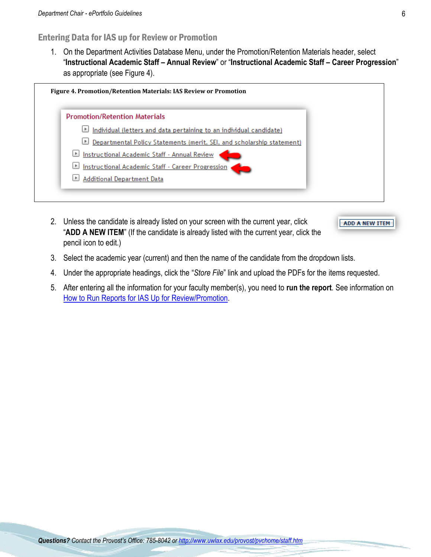## Entering Data for IAS up for Review or Promotion

1. On the Department Activities Database Menu, under the Promotion/Retention Materials header, select "**Instructional Academic Staff – Annual Review**" or "**Instructional Academic Staff – Career Progression**" as appropriate (see Figure 4).



2. Unless the candidate is already listed on your screen with the current year, click "**ADD A NEW ITEM**" (If the candidate is already listed with the current year, click the pencil icon to edit.)

**ADD A NEW ITEM** 

- 3. Select the academic year (current) and then the name of the candidate from the dropdown lists.
- 4. Under the appropriate headings, click the "*Store File*" link and upload the PDFs for the items requested.
- <span id="page-5-0"></span>5. After entering all the information for your faculty member(s), you need to **run the report**. See information on [How to Run Reports for IAS Up for Review/Promotion.](#page-8-0)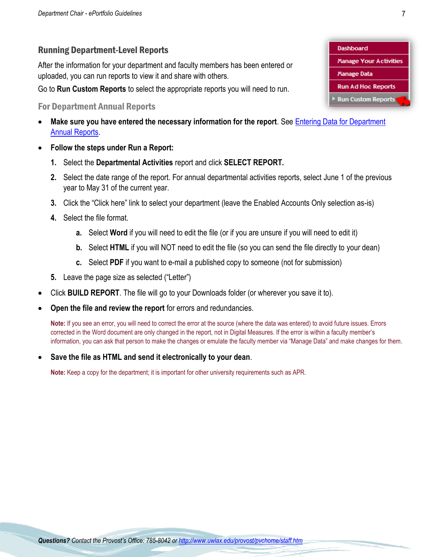## Running Department-Level Reports

After the information for your department and faculty members has been entered or uploaded, you can run reports to view it and share with others.

Go to **Run Custom Reports** to select the appropriate reports you will need to run.

#### <span id="page-6-0"></span>For Department Annual Reports

- **Make sure you have entered the necessary information for the report**. See [Entering Data for Department](#page-3-0)  [Annual Reports.](#page-3-0)
- **Follow the steps under Run a Report:**
	- **1.** Select the **Departmental Activities** report and click **SELECT REPORT.**
	- **2.** Select the date range of the report. For annual departmental activities reports, select June 1 of the previous year to May 31 of the current year.
	- **3.** Click the "Click here" link to select your department (leave the Enabled Accounts Only selection as-is)
	- **4.** Select the file format.
		- **a.** Select **Word** if you will need to edit the file (or if you are unsure if you will need to edit it)
		- **b.** Select **HTML** if you will NOT need to edit the file (so you can send the file directly to your dean)
		- **c.** Select **PDF** if you want to e-mail a published copy to someone (not for submission)
	- **5.** Leave the page size as selected ("Letter")
- Click **BUILD REPORT**. The file will go to your Downloads folder (or wherever you save it to).
- **Open the file and review the report** for errors and redundancies.

**Note:** If you see an error, you will need to correct the error at the source (where the data was entered) to avoid future issues. Errors corrected in the Word document are only changed in the report, not in Digital Measures. If the error is within a faculty member's information, you can ask that person to make the changes or emulate the faculty member via "Manage Data" and make changes for them.

**Save the file as HTML and send it electronically to your dean**.

**Note:** Keep a copy for the department; it is important for other university requirements such as APR.

| Dashboard                                |
|------------------------------------------|
| <b>Manage Your Activities</b>            |
| Manage Data                              |
| <b>Run Ad Hoc Reports</b>                |
| $\blacktriangleright$ Run Custom Reports |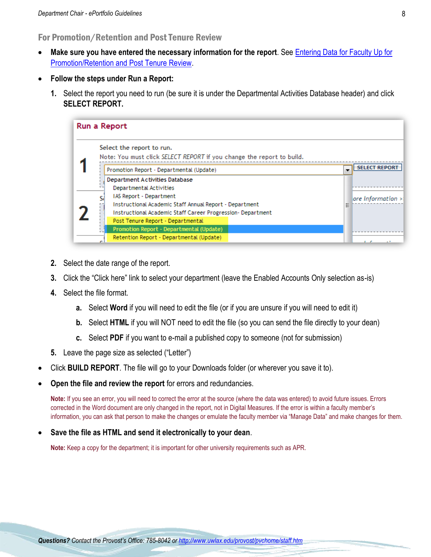## <span id="page-7-0"></span>For Promotion/Retention and Post Tenure Review

- **Make sure you have entered the necessary information for the report**. See [Entering Data for Faculty Up for](#page-4-0)  [Promotion/Retention and Post Tenure Review.](#page-4-0)
- **Follow the steps under Run a Report:**
	- **1.** Select the report you need to run (be sure it is under the Departmental Activities Database header) and click **SELECT REPORT.**

| Select the report to run.                                             |   |                         |
|-----------------------------------------------------------------------|---|-------------------------|
| Note: You must click SELECT REPORT if you change the report to build. |   |                         |
| Promotion Report - Departmental (Update)                              |   | <b>SELECT REPORT</b>    |
| <b>Department Activities Database</b>                                 |   |                         |
| Departmental Activities                                               |   |                         |
| IAS Report - Department                                               |   | $ $ ore Information $>$ |
| Instructional Academic Staff Annual Report - Department               | ≕ |                         |
| Instructional Academic Staff Career Progression- Department           |   |                         |
| Post Tenure Report - Departmental                                     |   |                         |
| Promotion Report - Departmental (Update)                              |   |                         |
| Retention Report - Departmental (Update)                              |   |                         |

- **2.** Select the date range of the report.
- **3.** Click the "Click here" link to select your department (leave the Enabled Accounts Only selection as-is)
- **4.** Select the file format.
	- **a.** Select **Word** if you will need to edit the file (or if you are unsure if you will need to edit it)
	- **b.** Select **HTML** if you will NOT need to edit the file (so you can send the file directly to your dean)
	- **c.** Select **PDF** if you want to e-mail a published copy to someone (not for submission)
- **5.** Leave the page size as selected ("Letter")
- Click **BUILD REPORT**. The file will go to your Downloads folder (or wherever you save it to).
- **Open the file and review the report** for errors and redundancies.

**Note:** If you see an error, you will need to correct the error at the source (where the data was entered) to avoid future issues. Errors corrected in the Word document are only changed in the report, not in Digital Measures. If the error is within a faculty member's information, you can ask that person to make the changes or emulate the faculty member via "Manage Data" and make changes for them.

**Save the file as HTML and send it electronically to your dean**.

**Note:** Keep a copy for the department; it is important for other university requirements such as APR.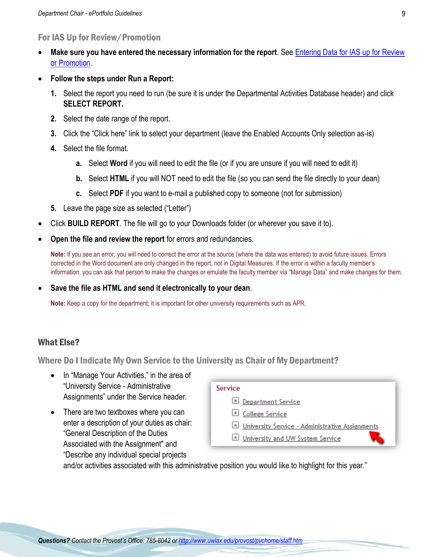## <span id="page-8-0"></span>For IAS Up for Review/Promotion

- **Make sure you have entered the necessary information for the report**. See [Entering Data for IAS up for Review](#page-4-1)  [or Promotion.](#page-4-1)
- **Follow the steps under Run a Report:**
	- **1.** Select the report you need to run (be sure it is under the Departmental Activities Database header) and click **SELECT REPORT.**
	- **2.** Select the date range of the report.
	- **3.** Click the "Click here" link to select your department (leave the Enabled Accounts Only selection as-is)
	- **4.** Select the file format.
		- **a.** Select **Word** if you will need to edit the file (or if you are unsure if you will need to edit it)
		- **b.** Select **HTML** if you will NOT need to edit the file (so you can send the file directly to your dean)
		- **c.** Select **PDF** if you want to e-mail a published copy to someone (not for submission)
	- **5.** Leave the page size as selected ("Letter")
- Click **BUILD REPORT**. The file will go to your Downloads folder (or wherever you save it to).
- **Open the file and review the report** for errors and redundancies.

**Note:** If you see an error, you will need to correct the error at the source (where the data was entered) to avoid future issues. Errors corrected in the Word document are only changed in the report, not in Digital Measures. If the error is within a faculty member's information, you can ask that person to make the changes or emulate the faculty member via "Manage Data" and make changes for them.

**Save the file as HTML and send it electronically to your dean**.

**Note:** Keep a copy for the department; it is important for other university requirements such as APR.

## <span id="page-8-1"></span>What Else?

<span id="page-8-2"></span>Where Do I Indicate My Own Service to the University as Chair of My Department?

- In "Manage Your Activities," in the area of "University Service - Administrative Assignments" under the Service header.
- There are two textboxes where you can enter a description of your duties as chair: "General Description of the Duties Associated with the Assignment" and "Describe any individual special projects

## Service Department Service College Service

- **D** University Service Administrative Assignments
- University and UW System Service

and/or activities associated with this administrative position you would like to highlight for this year."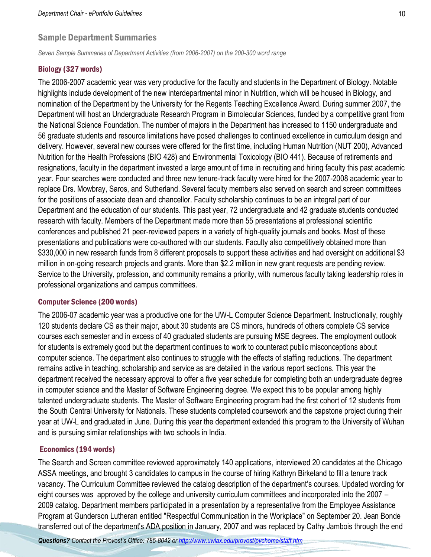## <span id="page-9-0"></span>Sample Department Summaries

*Seven Sample Summaries of Department Activities (from 2006-2007) on the 200-300 word range*

#### Biology (327 words)

The 2006-2007 academic year was very productive for the faculty and students in the Department of Biology. Notable highlights include development of the new interdepartmental minor in Nutrition, which will be housed in Biology, and nomination of the Department by the University for the Regents Teaching Excellence Award. During summer 2007, the Department will host an Undergraduate Research Program in Bimolecular Sciences, funded by a competitive grant from the National Science Foundation. The number of majors in the Department has increased to 1150 undergraduate and 56 graduate students and resource limitations have posed challenges to continued excellence in curriculum design and delivery. However, several new courses were offered for the first time, including Human Nutrition (NUT 200), Advanced Nutrition for the Health Professions (BIO 428) and Environmental Toxicology (BIO 441). Because of retirements and resignations, faculty in the department invested a large amount of time in recruiting and hiring faculty this past academic year. Four searches were conducted and three new tenure-track faculty were hired for the 2007-2008 academic year to replace Drs. Mowbray, Saros, and Sutherland. Several faculty members also served on search and screen committees for the positions of associate dean and chancellor. Faculty scholarship continues to be an integral part of our Department and the education of our students. This past year, 72 undergraduate and 42 graduate students conducted research with faculty. Members of the Department made more than 55 presentations at professional scientific conferences and published 21 peer-reviewed papers in a variety of high-quality journals and books. Most of these presentations and publications were co-authored with our students. Faculty also competitively obtained more than \$330,000 in new research funds from 8 different proposals to support these activities and had oversight on additional \$3 million in on-going research projects and grants. More than \$2.2 million in new grant requests are pending review. Service to the University, profession, and community remains a priority, with numerous faculty taking leadership roles in professional organizations and campus committees.

#### Computer Science (200 words)

The 2006-07 academic year was a productive one for the UW-L Computer Science Department. Instructionally, roughly 120 students declare CS as their major, about 30 students are CS minors, hundreds of others complete CS service courses each semester and in excess of 40 graduated students are pursuing MSE degrees. The employment outlook for students is extremely good but the department continues to work to counteract public misconceptions about computer science. The department also continues to struggle with the effects of staffing reductions. The department remains active in teaching, scholarship and service as are detailed in the various report sections. This year the department received the necessary approval to offer a five year schedule for completing both an undergraduate degree in computer science and the Master of Software Engineering degree. We expect this to be popular among highly talented undergraduate students. The Master of Software Engineering program had the first cohort of 12 students from the South Central University for Nationals. These students completed coursework and the capstone project during their year at UW-L and graduated in June. During this year the department extended this program to the University of Wuhan and is pursuing similar relationships with two schools in India.

#### Economics (194 words)

The Search and Screen committee reviewed approximately 140 applications, interviewed 20 candidates at the Chicago ASSA meetings, and brought 3 candidates to campus in the course of hiring Kathryn Birkeland to fill a tenure track vacancy. The Curriculum Committee reviewed the catalog description of the department's courses. Updated wording for eight courses was approved by the college and university curriculum committees and incorporated into the 2007 – 2009 catalog. Department members participated in a presentation by a representative from the Employee Assistance Program at Gunderson Lutheran entitled "Respectful Communication in the Workplace" on September 20. Jean Bonde transferred out of the department's ADA position in January, 2007 and was replaced by Cathy Jambois through the end

*Questions? Contact the Provost's Office: 785-8042 or http://www.uwlax.edu/provost/pvchome/staff.htm*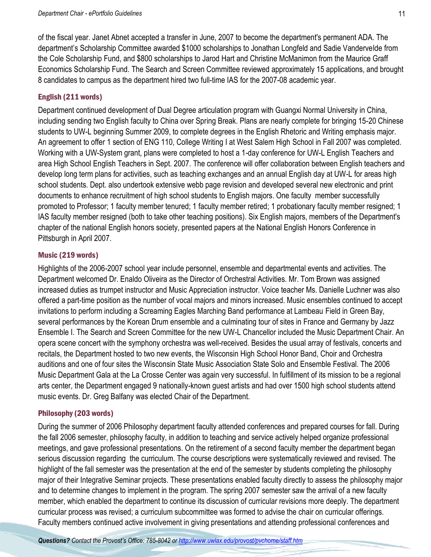of the fiscal year. Janet Abnet accepted a transfer in June, 2007 to become the department's permanent ADA. The department's Scholarship Committee awarded \$1000 scholarships to Jonathan Longfeld and Sadie Vandervelde from the Cole Scholarship Fund, and \$800 scholarships to Jarod Hart and Christine McManimon from the Maurice Graff Economics Scholarship Fund. The Search and Screen Committee reviewed approximately 15 applications, and brought 8 candidates to campus as the department hired two full-time IAS for the 2007-08 academic year.

#### English (211 words)

Department continued development of Dual Degree articulation program with Guangxi Normal University in China, including sending two English faculty to China over Spring Break. Plans are nearly complete for bringing 15-20 Chinese students to UW-L beginning Summer 2009, to complete degrees in the English Rhetoric and Writing emphasis major. An agreement to offer 1 section of ENG 110, College Writing I at West Salem High School in Fall 2007 was completed. Working with a UW-System grant, plans were completed to host a 1-day conference for UW-L English Teachers and area High School English Teachers in Sept. 2007. The conference will offer collaboration between English teachers and develop long term plans for activities, such as teaching exchanges and an annual English day at UW-L for areas high school students. Dept. also undertook extensive webb page revision and developed several new electronic and print documents to enhance recruitment of high school students to English majors. One faculty member successfully promoted to Professor; 1 faculty member tenured; 1 faculty member retired; 1 probationary faculty member resigned; 1 IAS faculty member resigned (both to take other teaching positions). Six English majors, members of the Department's chapter of the national English honors society, presented papers at the National English Honors Conference in Pittsburgh in April 2007.

#### Music (219 words)

Highlights of the 2006-2007 school year include personnel, ensemble and departmental events and activities. The Department welcomed Dr. Enaldo Oliveira as the Director of Orchestral Activities. Mr. Tom Brown was assigned increased duties as trumpet instructor and Music Appreciation instructor. Voice teacher Ms. Danielle Luchner was also offered a part-time position as the number of vocal majors and minors increased. Music ensembles continued to accept invitations to perform including a Screaming Eagles Marching Band performance at Lambeau Field in Green Bay, several performances by the Korean Drum ensemble and a culminating tour of sites in France and Germany by Jazz Ensemble I. The Search and Screen Committee for the new UW-L Chancellor included the Music Department Chair. An opera scene concert with the symphony orchestra was well-received. Besides the usual array of festivals, concerts and recitals, the Department hosted to two new events, the Wisconsin High School Honor Band, Choir and Orchestra auditions and one of four sites the Wisconsin State Music Association State Solo and Ensemble Festival. The 2006 Music Department Gala at the La Crosse Center was again very successful. In fulfillment of its mission to be a regional arts center, the Department engaged 9 nationally-known guest artists and had over 1500 high school students attend music events. Dr. Greg Balfany was elected Chair of the Department.

#### Philosophy (203 words)

During the summer of 2006 Philosophy department faculty attended conferences and prepared courses for fall. During the fall 2006 semester, philosophy faculty, in addition to teaching and service actively helped organize professional meetings, and gave professional presentations. On the retirement of a second faculty member the department began serious discussion regarding the curriculum. The course descriptions were systematically reviewed and revised. The highlight of the fall semester was the presentation at the end of the semester by students completing the philosophy major of their Integrative Seminar projects. These presentations enabled faculty directly to assess the philosophy major and to determine changes to implement in the program. The spring 2007 semester saw the arrival of a new faculty member, which enabled the department to continue its discussion of curricular revisions more deeply. The department curricular process was revised; a curriculum subcommittee was formed to advise the chair on curricular offerings. Faculty members continued active involvement in giving presentations and attending professional conferences and